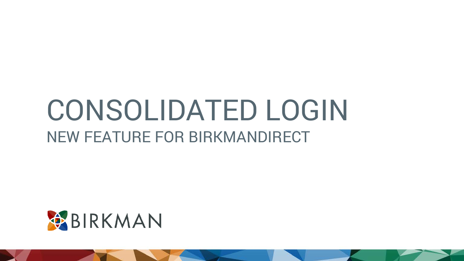# CONSOLIDATED LOGIN NEW FEATURE FOR BIRKMANDIRECT

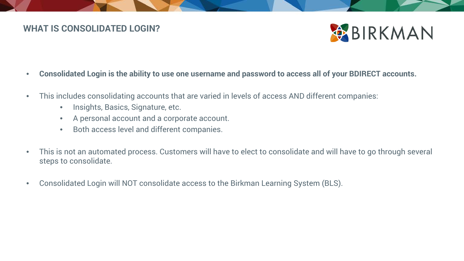### **WHAT IS CONSOLIDATED LOGIN?**



- **Consolidated Login is the ability to use one username and password to access all of your BDIRECT accounts.**
- This includes consolidating accounts that are varied in levels of access AND different companies:
	- Insights, Basics, Signature, etc.
	- A personal account and a corporate account.
	- Both access level and different companies.
- This is not an automated process. Customers will have to elect to consolidate and will have to go through several steps to consolidate.
- Consolidated Login will NOT consolidate access to the Birkman Learning System (BLS).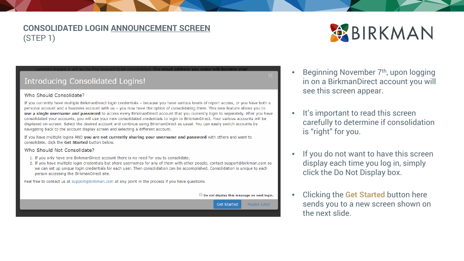### **CONSOLIDATED LOGIN ANNOUNCEMENT SCREEN** (STEP 1)



#### **Introducing Consolidated Logins!**

#### Who Should Consolidate?

If you currently have multiple BirkmanDirect login credentials - because you have various levels of report access, or you have both a personal account and a business account with us - you now have the option of consolidating them. This new feature allows you to use a single username and password to access every BirkmanDirect account that you currently login to separately. After you have consolidated your accounts, you will use your new consolidated credentials to login to BirkmanDirect. Your various accounts will be displayed on-screen. Select the desired account and continue using BirkmanDirect as usual. You can easily switch accounts by navigating back to the account display screen and selecting a different account.

If you have multiple logins AND you are not currently sharing your username and password with others and want to consolidate, click the Get Started button below.

#### Who Should Not Consolidate?

- 1. If you only have one BirkmanDirect account there is no need for you to consolidate.
- 2. If you have multiple login credentials but share usernames for any of them with other people, contact support@birkman.com so we can set up unique login credentials for each user. Then consolidation can be accomplished. Consolidation is unique to each person accessing the BirkmanDirect site.

Feel free to contact us at support@birkman.com at any point in the process if you have questions.



- Beginning November 7<sup>th</sup>, upon logging in on a BirkmanDirect account you will see this screen appear.
- It's important to read this screen carefully to determine if consolidation is "right" for you.
- If you do not want to have this screen display each time you log in, simply click the Do Not Display box.
- Clicking the **Get Started** button here sends you to a new screen shown on the next slide.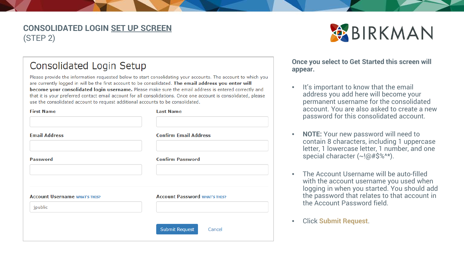#### **CONSOLIDATED LOGIN SET UP SCREEN** (STEP 2)



### Consolidated Login Setup

Please provide the information requested below to start consolidating your accounts. The account to which you are currently logged in will be the first account to be consolidated. The email address you enter will become your consolidated login username. Please make sure the email address is entered correctly and that it is your preferred contact email account for all consolidations. Once one account is consolidated, please use the consolidated account to request additional accounts to be consolidated.

| <b>First Name</b>                    | <b>Last Name</b>                     |
|--------------------------------------|--------------------------------------|
| <b>Email Address</b>                 | <b>Confirm Email Address</b>         |
| <b>Password</b>                      | <b>Confirm Password</b>              |
| <b>Account Username WHAT'S THIS?</b> | <b>Account Password WHAT'S THIS?</b> |
| jpublic                              | <b>Submit Request</b><br>Cancel      |

#### **Once you select to Get Started this screen will appear.**

- It's important to know that the email address you add here will become your permanent username for the consolidated account. You are also asked to create a new password for this consolidated account.
- **NOTE:** Your new password will need to contain 8 characters, including 1 uppercase letter, 1 lowercase letter, 1 number, and one special character (~!@#\$%^\*).
- The Account Username will be auto-filled with the account username you used when logging in when you started. You should add the password that relates to that account in the Account Password field.
- Click **Submit Request**.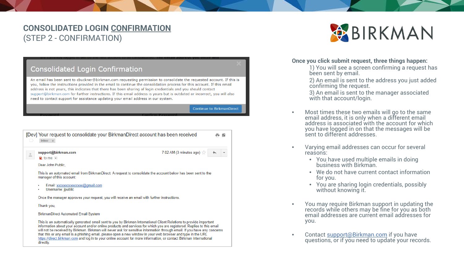### **CONSOLIDATED LOGIN CONFIRMATION** (STEP 2 - CONFIRMATION)

| <b>Consolidated Login Confirmation</b>                                                                                                                                                                                                                                                                                                                                                                                                                                                                                                                                             |                                  |
|------------------------------------------------------------------------------------------------------------------------------------------------------------------------------------------------------------------------------------------------------------------------------------------------------------------------------------------------------------------------------------------------------------------------------------------------------------------------------------------------------------------------------------------------------------------------------------|----------------------------------|
| An email has been sent to cbuckner@birkman.com requesting permission to consolidate the requested account. If this is<br>you, follow the instructions provided in the email to continue the consolidation process for this account. If this email<br>address is not yours, this indicates that there has been sharing of login credentials and you should contact<br>support@birkman.com for further instructions. If this email address is yours but is outdated or incorrect, you will also<br>need to contact support for assistance updating your email address in our system. |                                  |
|                                                                                                                                                                                                                                                                                                                                                                                                                                                                                                                                                                                    | <b>Continue to BirkmanDirect</b> |
| [Dev] Your request to consolidate your BirkmanDirect account has been received<br>Inbox x                                                                                                                                                                                                                                                                                                                                                                                                                                                                                          |                                  |
| 7:02 AM (3 minutes ago) $\frac{1}{2}$<br>support@birkman.com<br>$\qquad \qquad \Box$<br>$\lambda$ to me $\vert \mathbf{v} \vert$<br>Dear John Public,                                                                                                                                                                                                                                                                                                                                                                                                                              |                                  |
| This is an automated email from BirkmanDirect. A request to consolidate the account below has been sent to the<br>manager of this account:                                                                                                                                                                                                                                                                                                                                                                                                                                         |                                  |
| Email: xxxxxxxxxxxxxx@gmail.com<br>Username: jpublic                                                                                                                                                                                                                                                                                                                                                                                                                                                                                                                               |                                  |
| Once the manager approves your request, you will receive an email with further instructions.                                                                                                                                                                                                                                                                                                                                                                                                                                                                                       |                                  |

Thank you,

BirkmanDirect Automated Email System

This is an automatically generated email sent to you by Birkman International Client Relations to provide important information about your account and/or online products and services for which you are registered. Replies to this email will not be received by Birkman. Birkman will never ask for sensitive information through email. If you have any concerns that this or any email is a phishing email, please open a new window in your web browser and type in the URL https://direct.birkman.com and log in to your online account for more information, or contact Birkman International directly.



#### **Once you click submit request, three things happen:**

1) You will see a screen confirming a request has been sent by email.

2) An email is sent to the address you just added confirming the request.

3) An email is sent to the manager associated with that account/login.

- Most times these two emails will go to the same email address, it is only when a different email address is associated with the account for which you have logged in on that the messages will be sent to different addresses.
- Varying email addresses can occur for several reasons:
	- You have used multiple emails in doing business with Birkman.
	- We do not have current contact information for you.
	- You are sharing login credentials, possibly without knowing it.
- You may require Birkman support in updating the records while others may be fine for you as both email addresses are current email addresses for you.
- Contact support@Birkman.com if you have questio[ns, or if you need to upda](mailto:support@Birkman.com)te your records.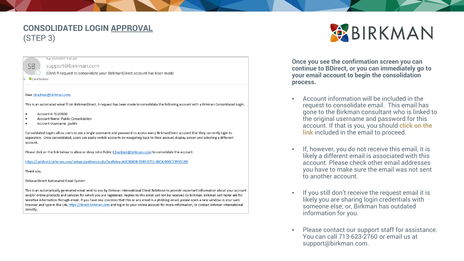#### **CONSOLIDATED LOGIN APPROVAL** (STEP 3)



#### support@birkman.com

Tue 10/17/2017 7:02 AM

[Dev] A request to consolidate your BirkmanDirect account has been made

Carol Buckne

#### Dear cbuckner@birkman.com,

This is an automated email from BirkmanDirect. A request has been made to consolidate the following account with a Birkman Consolidated Login.

- Account #: 5127000  $\bullet$
- Account Name: Public Consolidation
- Account Username: jpublic  $\bullet$

Consolidated Logins allow users to use a single username and password to access every BirkmanDirect account that they currently login to separately. Once consolidated, users can easily switch accounts by navigating back to their account display screen and selecting a different account.

Please click on the link below to allow or deny John Public (cbuckner@birkman.com) to consolidate the account:

https://uatdirect.birkman.com/nologin/authorize.php?authKey=A6C3880B-33B3-E711-80CA-000C299591BD

Thank you,

BirkmanDirect Automated Email System

This is an automatically generated email sent to you by Birkman International Client Relations to provide important information about your account and/or online products and services for which you are registered. Replies to this email will not be received by Birkman. Birkman will never ask for sensitive information through email. If you have any concerns that this or any email is a phishing email, please open a new window in your web browser and type in the URL https://direct.birkman.com and log in to your online account for more information, or contact Birkman International directly.



**Once you see the confirmation screen you can continue to BDirect, or you can immediately go to your email account to begin the consolidation process.**

- Account information will be included in the request to consolidate email. This email has gone to the Birkman consultant who is linked to the original username and password for this account. If that is you, you should **click on the link** included in the email to proceed.
- If, however, you do not receive this email, it is likely a different email is associated with this account. Please check other email addresses you have to make sure the email was not sent to another account.
- If you still don't receive the request email it is likely you are sharing login credentials with someone else; or, Birkman has outdated information for you.
- Please contact our support staff for assistance. You can call 713-623-2760 or email us at support@birkman.com.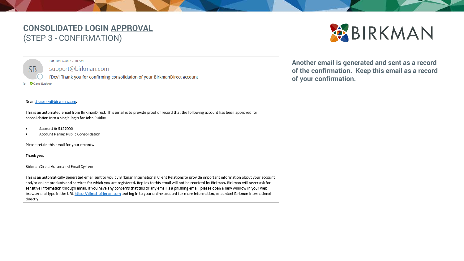### **CONSOLIDATED LOGIN APPROVAL** (STEP 3 - CONFIRMATION)

#### Tue 10/17/2017 7:18 AM

support@birkman.com

[Dev] Thank you for confirming consolidation of your BirkmanDirect account

Carol Buckner

**SB** 

#### Dear cbuckner@birkman.com,

This is an automated email from BirkmanDirect. This email is to provide proof of record that the following account has been approved for consolidation into a single login for John Public:

- Account #: 5127000  $\bullet$
- Account Name: Public Consolidation

Please retain this email for your records.

Thank you,

BirkmanDirect Automated Email System

This is an automatically generated email sent to you by Birkman International Client Relations to provide important information about your account and/or online products and services for which you are registered. Replies to this email will not be received by Birkman. Birkman will never ask for sensitive information through email. If you have any concerns that this or any email is a phishing email, please open a new window in your web browser and type in the URL https://direct.birkman.com and log in to your online account for more information, or contact Birkman International directly.

BIRKMAN

Another email is generated and sent as a record of the confirmation. Keep this email as a record of your confirmation.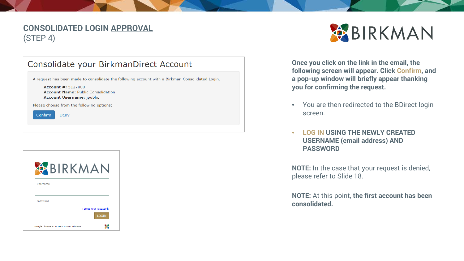#### **CONSOLIDATED LOGIN APPROVAL** (STEP 4)

| Consolidate your BirkmanDirect Account                                                                                                                                                                    |
|-----------------------------------------------------------------------------------------------------------------------------------------------------------------------------------------------------------|
| A request has been made to consolidate the following account with a Birkman Consolidated Login.<br>Account $\#: 5127000$<br><b>Account Name: Public Consolidation</b><br><b>Account Username:</b> jpublic |
| Please choose from the following options:                                                                                                                                                                 |
| Confirm<br>Deny                                                                                                                                                                                           |
|                                                                                                                                                                                                           |





**Once you click on the link in the email, the following screen will appear. Click Confirm, and a pop-up window will briefly appear thanking you for confirming the request.**

- You are then redirected to the BDirect login screen.
- **LOG IN USING THE NEWLY CREATED USERNAME (email address) AND PASSWORD**

**NOTE:** In the case that your request is denied, please refer to Slide 18.

**NOTE:** At this point, **the first account has been consolidated.**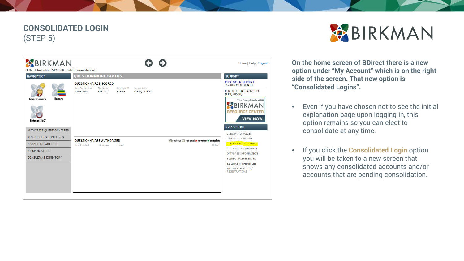### **CONSOLIDATED LOGIN** (STEP 5)





**On the home screen of BDirect there is a new option under "My Account" which is on the right side of the screen. That new option is "Consolidated Logins".**

- Even if you have chosen not to see the initial explanation page upon logging in, this option remains so you can elect to consolidate at any time.
- If you click the **Consolidated Login** option you will be taken to a new screen that shows any consolidated accounts and/or accounts that are pending consolidation.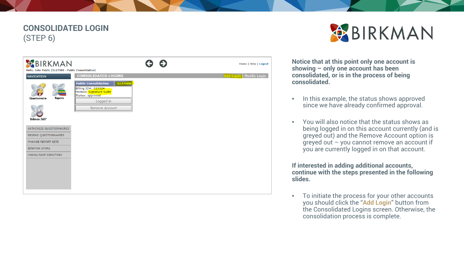### **CONSOLIDATED LOGIN** (STEP 6)





**Notice that at this point only one account is showing – only one account has been consolidated, or is in the process of being consolidated.**

- In this example, the status shows approved since we have already confirmed approval.
- You will also notice that the status shows as being logged in on this account currently (and is greyed out) and the Remove Account option is greyed out – you cannot remove an account if you are currently logged in on that account.

**If interested in adding additional accounts, continue with the steps presented in the following slides.**

• To initiate the process for your other accounts you should click the "**Add Login**" button from the Consolidated Logins screen. Otherwise, the consolidation process is complete.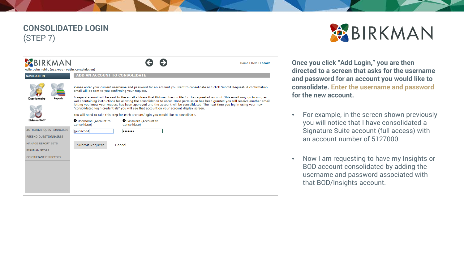### **CONSOLIDATED LOGIN** (STEP 7)

| BIRKMAN<br>Hello, John Public (5127000 - Public Consolidation)                   | <b>Home   Help   Logout</b>                                                                                                                                                                                                                                                                                                                                                                                                                                                                                                                                                                                                                                                                                                                                                                                                     |
|----------------------------------------------------------------------------------|---------------------------------------------------------------------------------------------------------------------------------------------------------------------------------------------------------------------------------------------------------------------------------------------------------------------------------------------------------------------------------------------------------------------------------------------------------------------------------------------------------------------------------------------------------------------------------------------------------------------------------------------------------------------------------------------------------------------------------------------------------------------------------------------------------------------------------|
| <b>NAVIGATION</b><br><b>Reports</b><br>Questionnaire                             | ADD AN ACCOUNT TO CONSOLIDATE<br>Please enter your current username and password for an account you want to consolidate and click Submit Request. A confirmation<br>email will be sent to you confirming your request.<br>A separate email will be sent to the email address that Birkman has on file for the requested account (this email may go to you, as<br>well) containing instructions for allowing the consolidation to occur. Once permission has been granted you will receive another email<br>letting you know your request has been approved and the account will be consolidated. The next time you log in using your new<br>"consolidated login credentials" you will see that account on your account display screen.<br>You will need to take this step for each account/login you would like to consolidate. |
| Birkman 360°<br>AUTHORIZE OUESTIONNAIRES<br>RESEND QUESTIONNAIRES                | Username (Account to<br><b>O</b> Password (Account to<br>Consolidate)<br>Consolidate)<br>ipublicbod<br>                                                                                                                                                                                                                                                                                                                                                                                                                                                                                                                                                                                                                                                                                                                         |
| <b>MANAGE REPORT SETS</b><br><b>BIRKMAN STORE</b><br><b>CONSULTANT DIRECTORY</b> | Submit Request<br>Cancel                                                                                                                                                                                                                                                                                                                                                                                                                                                                                                                                                                                                                                                                                                                                                                                                        |
|                                                                                  |                                                                                                                                                                                                                                                                                                                                                                                                                                                                                                                                                                                                                                                                                                                                                                                                                                 |



**Once you click "Add Login," you are then directed to a screen that asks for the username and password for an account you would like to consolidate. Enter the username and password for the new account.**

- For example, in the screen shown previously you will notice that I have consolidated a Signature Suite account (full access) with an account number of 5127000.
- Now I am requesting to have my Insights or BOD account consolidated by adding the username and password associated with that BOD/Insights account.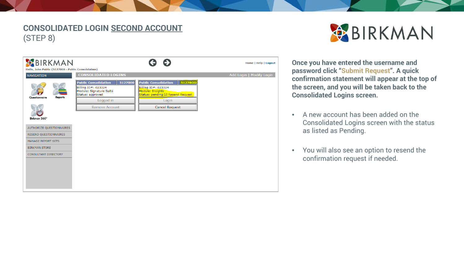### **CONSOLIDATED LOGIN SECOND ACCOUNT** (STEP 8)





**Once you have entered the username and password click "Submit Request". A quick confirmation statement will appear at the top of the screen, and you will be taken back to the Consolidated Logins screen.** 

- A new account has been added on the Consolidated Logins screen with the status as listed as Pending.
- You will also see an option to resend the confirmation request if needed.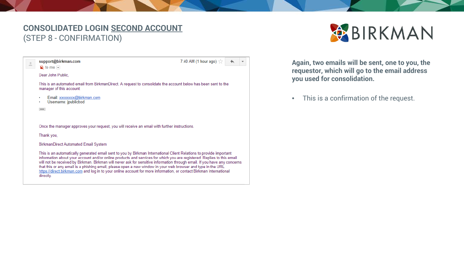### **CONSOLIDATED LOGIN SECOND ACCOUNT** (STEP 8 - CONFIRMATION)

7:40 AM (1 hour ago)  $\frac{1}{2}$ 

#### $\triangle$  $\mathbf{R}$  to me  $\boxed{\mathbf{L}}$

support@birkman.com

Dear John Public.

This is an automated email from BirkmanDirect. A request to consolidate the account below has been sent to the manager of this account:

- Email: xxxxxxx@birkman.com
- Username: jpublicbod
- $\cdots$

Once the manager approves your request, you will receive an email with further instructions.

Thank you,

#### **BirkmanDirect Automated Email System**

This is an automatically generated email sent to you by Birkman International Client Relations to provide important information about your account and/or online products and services for which you are registered. Replies to this email will not be received by Birkman. Birkman will never ask for sensitive information through email. If you have any concerns that this or any email is a phishing email, please open a new window in your web browser and type in the URL https://direct.birkman.com and log in to your online account for more information, or contact Birkman International directly.

Again, two emails will be sent, one to you, the requestor, which will go to the email address you used for consolidation.

BIRKMAN

This is a confirmation of the request.  $\bullet$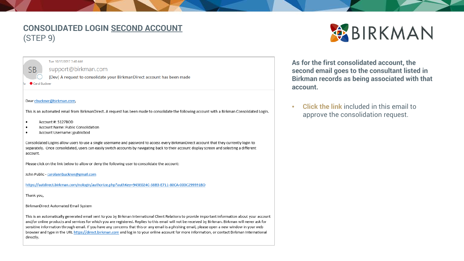### **CONSOLIDATED LOGIN SECOND ACCOUNT**  $(STEP 9)$



#### support@birkman.com

Tue 10/17/2017 7:40 AM

[Dev] A request to consolidate your BirkmanDirect account has been made

Carol Buckner

#### Dear cbuckner@birkman.com.

This is an automated email from BirkmanDirect. A request has been made to consolidate the following account with a Birkman Consolidated Login.

- Account #: 5127BOD
- Account Name: Public Consolidation
- Account Username: jpublicbod

Consolidated Logins allow users to use a single username and password to access every BirkmanDirect account that they currently login to separately. Once consolidated, users can easily switch accounts by navigating back to their account display screen and selecting a different account.

Please click on the link below to allow or deny the following user to consolidate the account:

John Public - carolannbuckner@gmail.com

https://uatdirect.birkman.com/nologin/authorize.php?authKey=945E024C-38B3-E711-80CA-000C299591BD

Thank you,

BirkmanDirect Automated Email System

This is an automatically generated email sent to you by Birkman International Client Relations to provide important information about your account and/or online products and services for which you are registered. Replies to this email will not be received by Birkman. Birkman will never ask for sensitive information through email. If you have any concerns that this or any email is a phishing email, please open a new window in your web browser and type in the URL https://direct.birkman.com and log in to your online account for more information, or contact Birkman International directly.



As for the first consolidated account, the second email goes to the consultant listed in Birkman records as being associated with that account.

**Click the link included in this email to**  $\bullet$ approve the consolidation request.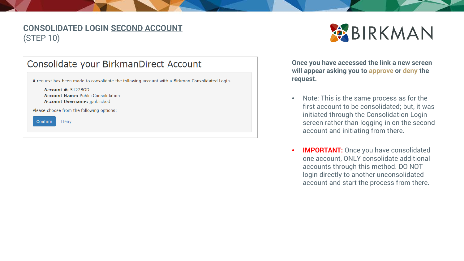### **CONSOLIDATED LOGIN SECOND ACCOUNT** (STEP 10)

| Consolidate your BirkmanDirect Account                                                                                                                                                                           |
|------------------------------------------------------------------------------------------------------------------------------------------------------------------------------------------------------------------|
| A request has been made to consolidate the following account with a Birkman Consolidated Login.<br><b>Account #: 5127BOD</b><br><b>Account Name: Public Consolidation</b><br><b>Account Username:</b> jpublicbod |
| Please choose from the following options:                                                                                                                                                                        |
| Confirm<br>Deny                                                                                                                                                                                                  |
|                                                                                                                                                                                                                  |

**Once you have accessed the link a new screen will appear asking you to approve or deny the request.**

BIRKMAN

- Note: This is the same process as for the first account to be consolidated; but, it was initiated through the Consolidation Login screen rather than logging in on the second account and initiating from there.
- **IMPORTANT:** Once you have consolidated one account, ONLY consolidate additional accounts through this method. DO NOT login directly to another unconsolidated account and start the process from there.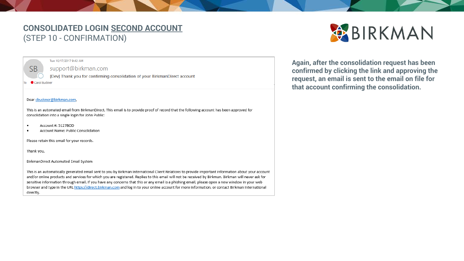#### **CONSOLIDATED LOGIN SECOND ACCOUNT** (STEP 10 - CONFIRMATION)



support@birkman.com

[Dev] Thank you for confirming consolidation of your BirkmanDirect account

Carol Buckner

**SB** 

#### Dear cbuckner@birkman.com,

This is an automated email from BirkmanDirect. This email is to provide proof of record that the following account has been approved for consolidation into a single login for John Public:

- Account #: 5127BOD  $\bullet$
- Account Name: Public Consolidation ٠

Please retain this email for your records.

Thank you,

BirkmanDirect Automated Email System

This is an automatically generated email sent to you by Birkman International Client Relations to provide important information about your account and/or online products and services for which you are registered. Replies to this email will not be received by Birkman. Birkman will never ask for sensitive information through email. If you have any concerns that this or any email is a phishing email, please open a new window in your web browser and type in the URL https://direct.birkman.com and log in to your online account for more information, or contact Birkman International directly.

Again, after the consolidation request has been confirmed by clicking the link and approving the request, an email is sent to the email on file for that account confirming the consolidation.

BIRKMAN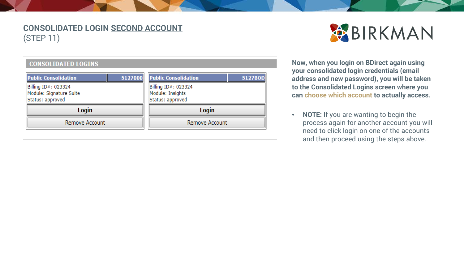### **CONSOLIDATED LOGIN SECOND ACCOUNT** (STEP 11)



#### **CONSOLIDATED LOGINS**

| <b>Public Consolidation</b> | <b>Public Consolidation</b> |  |
|-----------------------------|-----------------------------|--|
| 5127000                     | 5127BOD                     |  |
| Billing ID#: 023324         | Billing ID#: 023324         |  |
| Module: Signature Suite     | Module: Insights            |  |
| Status: approved            | Status: approved            |  |
| Login                       | Login                       |  |
| Remove Account              | Remove Account              |  |

**Now, when you login on BDirect again using your consolidated login credentials (email address and new password), you will be taken to the Consolidated Logins screen where you can choose which account to actually access.**

• **NOTE:** If you are wanting to begin the process again for another account you will need to click login on one of the accounts and then proceed using the steps above.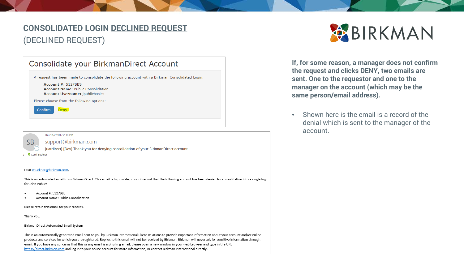### **CONSOLIDATED LOGIN DECLINED REQUEST** (DECLINED REQUEST)

| Consolidate your BirkmanDirect Account                                                                                                                                                                                                                                                                                                                                                                                                                                                  |  |
|-----------------------------------------------------------------------------------------------------------------------------------------------------------------------------------------------------------------------------------------------------------------------------------------------------------------------------------------------------------------------------------------------------------------------------------------------------------------------------------------|--|
| A request has been made to consolidate the following account with a Birkman Consolidated Login.<br>Account $\#$ : 5127BBS<br><b>Account Name: Public Consolidation</b><br><b>Account Username:</b> jpublicbasics<br>Please choose from the following options:<br>Deny<br>Confirm                                                                                                                                                                                                        |  |
| Thu 11/2/2017 2:38 PM<br>SB<br>support@birkman.com<br>[uatdirect] [Dev] Thank you for denying consolidation of your BirkmanDirect account<br>Carol Buckner                                                                                                                                                                                                                                                                                                                              |  |
| Dear cbuckner@birkman.com,<br>This is an automated email from BirkmanDirect. This email is to provide proof of record that the following account has been denied for consolidation into a single login<br>for John Public:<br>Account #: 5127BBS<br>٠                                                                                                                                                                                                                                   |  |
| Account Name: Public Consolidation<br>٠                                                                                                                                                                                                                                                                                                                                                                                                                                                 |  |
| Please retain this email for your records.                                                                                                                                                                                                                                                                                                                                                                                                                                              |  |
| Thank you,                                                                                                                                                                                                                                                                                                                                                                                                                                                                              |  |
| BirkmanDirect Automated Email System                                                                                                                                                                                                                                                                                                                                                                                                                                                    |  |
| This is an automatically generated email sent to you by Birkman International Client Relations to provide important information about your account and/or online<br>products and services for which you are registered. Replies to this email will not be received by Birkman. Birkman will never ask for sensitive information through<br>email. If you have any concerns that this or any email is a phishing email, please open a new window in your web browser and type in the URL |  |

https://direct.birkman.com and log in to your online account for more information, or contact Birkman International directly.

BIRKMAN

**If, for some reason, a manager does not confirm the request and clicks DENY, two emails are sent. One to the requestor and one to the manager on the account (which may be the same person/email address).**

• Shown here is the email is a record of the denial which is sent to the manager of the account.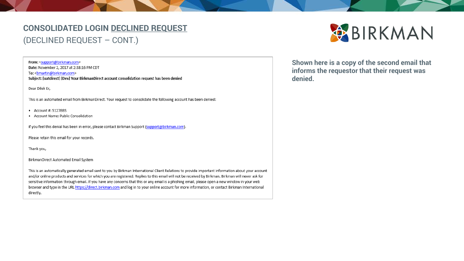### **CONSOLIDATED LOGIN DECLINED REQUEST** (DECLINED REQUEST – CONT.)

From: <support@birkman.com>

Date: November 2, 2017 at 2:38:16 PM CDT To: <br />
fo: <br />
com> Subject: [uatdirect] [Dev] Your BirkmanDirect account consolidation request has been denied

Dear Dilek Er,

This is an automated email from BirkmanDirect. Your request to consolidate the following account has been denied:

 $\bullet$  Account #: 5127BBS

• Account Name: Public Consolidation

If you feel this denial has been in error, please contact Birkman Support (support@birkman.com).

Please retain this email for your records.

Thank you,

BirkmanDirect Automated Email System

This is an automatically generated email sent to you by Birkman International Client Relations to provide important information about your account and/or online products and services for which you are registered. Replies to this email will not be received by Birkman. Birkman will never ask for sensitive information through email. If you have any concerns that this or any email is a phishing email, please open a new window in your web browser and type in the URL https://direct.birkman.com and log in to your online account for more information, or contact Birkman International directly.



Shown here is a copy of the second email that informs the requestor that their request was denied.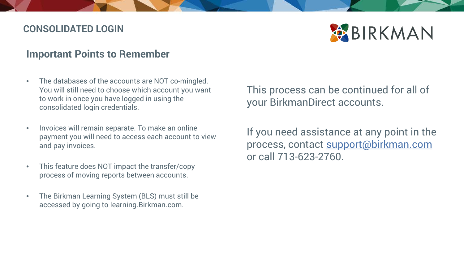### **CONSOLIDATED LOGIN**



### **Important Points to Remember**

- The databases of the accounts are NOT co-mingled. You will still need to choose which account you want to work in once you have logged in using the consolidated login credentials.
- Invoices will remain separate. To make an online payment you will need to access each account to view and pay invoices.
- This feature does NOT impact the transfer/copy process of moving reports between accounts.
- The Birkman Learning System (BLS) must still be accessed by going to learning.Birkman.com.

This process can be continued for all of your BirkmanDirect accounts.

If you need assistance at any point in the process, contact [support@birkman.com](mailto:support@birkman.com) or call 713-623-2760.